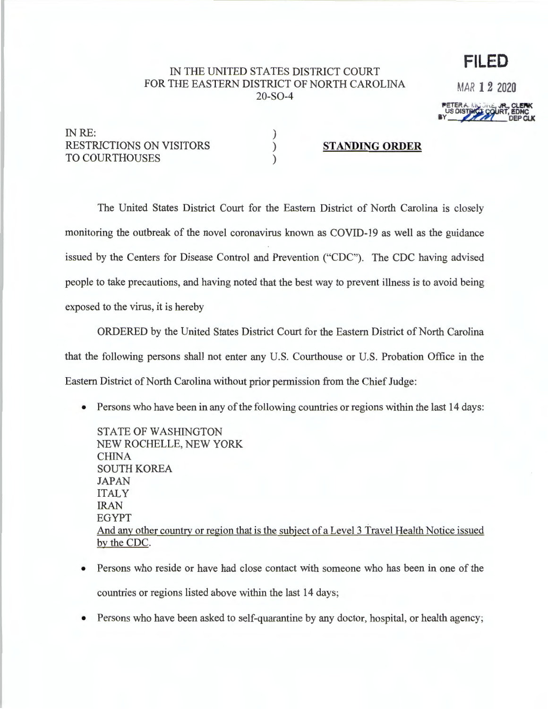## IN THE UNITED STATES DISTRICT COURT FOR THE EASTERN DISTRICT OF NORTH CAROLINA 20-S0-4

) ) ) MAR **12 2020** 

**FILED** 

INRE: RESTRICTIONS ON VISITORS TO COURTHOUSES

**STANDING ORDER** 

The United States District Court for the Eastern District of North Carolina is closely monitoring the outbreak of the novel coronavirus known as COVID-19 as well as the guidance issued by the Centers for Disease Control and Prevention ("CDC"). The CDC having advised people to take precautions, and having noted that the best way to prevent illness is to avoid being exposed to the virus, it is hereby

ORDERED by the United States District Court for the Eastern District of North Carolina that the following persons shall not enter any U.S. Courthouse or U.S. Probation Office in the Eastern District of North Carolina without prior permission from the Chief Judge:

• Persons who have been in any of the following countries or regions within the last 14 days:

STATE OF WASHINGTON NEW ROCHELLE, NEW YORK CHINA SOUTH KOREA JAPAN ITALY IRAN EGYPT And any other country or region that is the subject of a Level 3 Travel Health Notice issued by the CDC.

- Persons who reside or have had close contact with someone who has been in one of the countries or regions listed above within the last 14 days;
- Persons who have been asked to self-quarantine by any doctor, hospital, or health agency;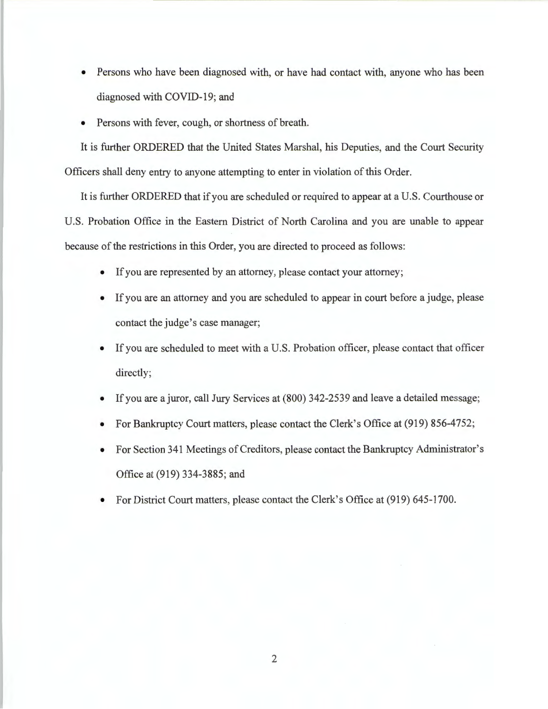- Persons who have been diagnosed with, or have had contact with, anyone who has been diagnosed with COVID-19; and
- Persons with fever, cough, or shortness of breath.

It is further ORDERED that the United States Marshal, his Deputies, and the Court Security Officers shall deny entry to anyone attempting to enter in violation of this Order.

It is further ORDERED that if you are scheduled or required to appear at a U.S. Courthouse or U.S. Probation Office in the Eastern District of North Carolina and you are unable to appear because of the restrictions in this Order, you are directed to proceed as follows:

- If you are represented by an attorney, please contact your attorney;
- If you are an attorney and you are scheduled to appear in court before a judge, please contact the judge's case manager;
- If you are scheduled to meet with a U.S. Probation officer, please contact that officer directly;
- If you are a juror, call Jury Services at (800) 342-2539 and leave a detailed message;
- For Bankruptcy Court matters, please contact the Clerk's Office at (919) 856-4752;
- For Section 341 Meetings of Creditors, please contact the Bankruptcy Administrator's Office at (919) 334-3885; and
- For District Court matters, please contact the Clerk's Office at (919) 645-1700.